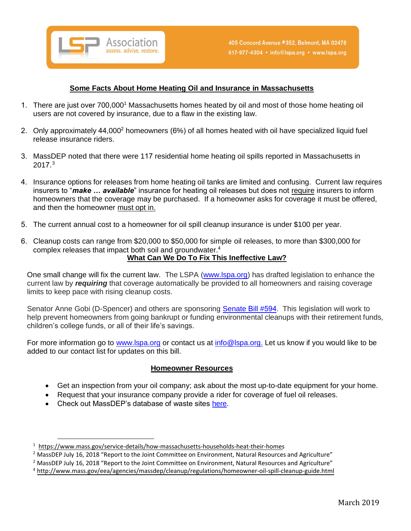

## **Some Facts About Home Heating Oil and Insurance in Massachusetts**

- 1. There are just over 700,000<sup>1</sup> Massachusetts homes heated by oil and most of those home heating oil users are not covered by insurance, due to a flaw in the existing law.
- 2. Only approximately 44,000<sup>2</sup> homeowners (6%) of all homes heated with oil have specialized liquid fuel release insurance riders.
- 3. MassDEP noted that there were 117 residential home heating oil spills reported in Massachusetts in  $2017.^3$
- 4. Insurance options for releases from home heating oil tanks are limited and confusing. Current law requires insurers to "*make … available*" insurance for heating oil releases but does not require insurers to inform homeowners that the coverage may be purchased. If a homeowner asks for coverage it must be offered, and then the homeowner must opt in.
- 5. The current annual cost to a homeowner for oil spill cleanup insurance is under \$100 per year.
- 6. Cleanup costs can range from \$20,000 to \$50,000 for simple oil releases, to more than \$300,000 for complex releases that impact both soil and groundwater.<sup>4</sup> **What Can We Do To Fix This Ineffective Law?**

One small change will fix the current law. The LSPA [\(www.lspa.org\)](http://www.lspa.org/) has drafted legislation to enhance the current law by *requiring* that coverage automatically be provided to all homeowners and raising coverage limits to keep pace with rising cleanup costs.

Senator Anne Gobi (D-Spencer) and others are sponsoring [Senate](https://malegislature.gov/Bills/191/SD975) Bill #594. This legislation will work to help prevent homeowners from going bankrupt or funding environmental cleanups with their retirement funds, children's college funds, or all of their life's savings.

For more information go to [www.lspa.org](http://www.lspa.org/) or contact us at [info@lspa.org.](mailto:info@lspa.org) Let us know if you would like to be added to our contact list for updates on this bill.

## **Homeowner Resources**

- Get an inspection from your oil company; ask about the most up-to-date equipment for your home.
- Request that your insurance company provide a rider for coverage of fuel oil releases.
- Check out MassDEP's database of waste sites [here.](https://eeaonline.eea.state.ma.us/portal#!/search/wastesite)

 $1$  https://www.mass.gov/service-details/how-massachusetts-households-heat-their-homes

<sup>&</sup>lt;sup>2</sup> MassDEP July 16, 2018 "Report to the Joint Committee on Enviro[nment, Natural Resources and Agriculture"](https://www.census.gov/quickfacts/MA)

 $<sup>2</sup>$  MassDEP July 16, 2018 "Report to the Joint Committee on Environment, Natural Resources and Agriculture"</sup>

<sup>4</sup> <http://www.mass.gov/eea/agencies/massdep/cleanup/regulations/homeowner-oil-spill-cleanup-guide.html>